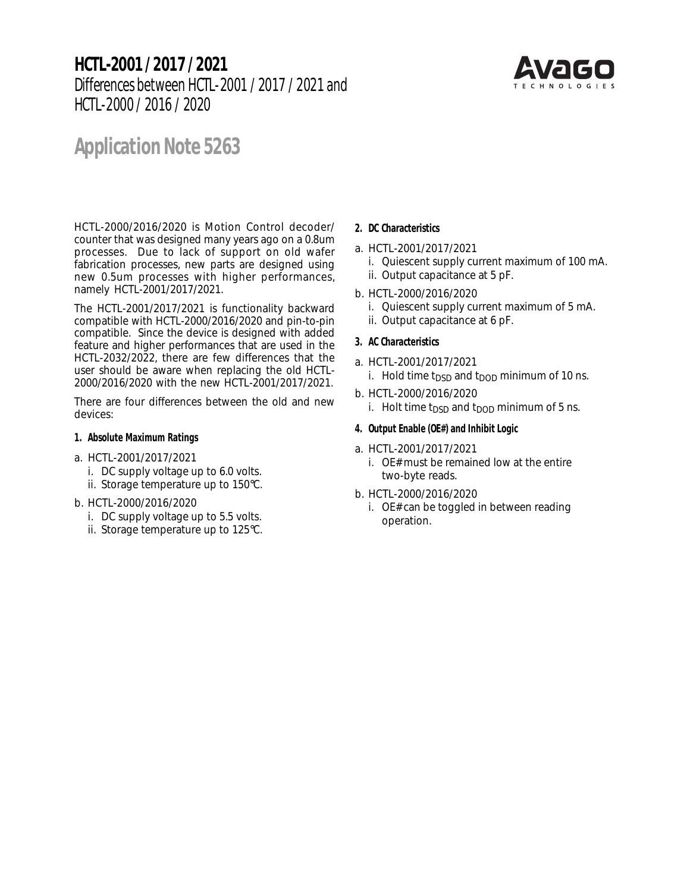# **HCTL-2001 / 2017 / 2021** Differences between HCTL-2001 / 2017 / 2021 and HCTL-2000 / 2016 / 2020



# **Application Note 5263**

HCTL-2000/2016/2020 is Motion Control decoder/ counter that was designed many years ago on a 0.8um processes. Due to lack of support on old wafer fabrication processes, new parts are designed using new 0.5um processes with higher performances, namely HCTL-2001/2017/2021.

The HCTL-2001/2017/2021 is functionality backward compatible with HCTL-2000/2016/2020 and pin-to-pin compatible. Since the device is designed with added feature and higher performances that are used in the HCTL-2032/2022, there are few differences that the user should be aware when replacing the old HCTL-2000/2016/2020 with the new HCTL-2001/2017/2021.

There are four differences between the old and new devices:

#### **1. Absolute Maximum Ratings**

- a. HCTL-2001/2017/2021
	- i. DC supply voltage up to 6.0 volts.
	- ii. Storage temperature up to 150°C.
- b. HCTL-2000/2016/2020
	- i. DC supply voltage up to 5.5 volts.
	- ii. Storage temperature up to 125°C.

## **2. DC Characteristics**

- a. HCTL-2001/2017/2021
	- i. Quiescent supply current maximum of 100 mA.
	- ii. Output capacitance at 5 pF.
- b. HCTL-2000/2016/2020
	- i. Quiescent supply current maximum of 5 mA.
	- ii. Output capacitance at 6 pF.

## **3. AC Characteristics**

- a. HCTL-2001/2017/2021
	- i. Hold time t<sub>DSD</sub> and t<sub>DOD</sub> minimum of 10 ns.
- b. HCTL-2000/2016/2020
	- i. Holt time  $t_{\text{DSD}}$  and  $t_{\text{DOD}}$  minimum of 5 ns.

#### **4. Output Enable (OE#) and Inhibit Logic**

- a. HCTL-2001/2017/2021
	- i. OE# must be remained low at the entire two-byte reads.
- b. HCTL-2000/2016/2020
	- i. OE# can be toggled in between reading operation.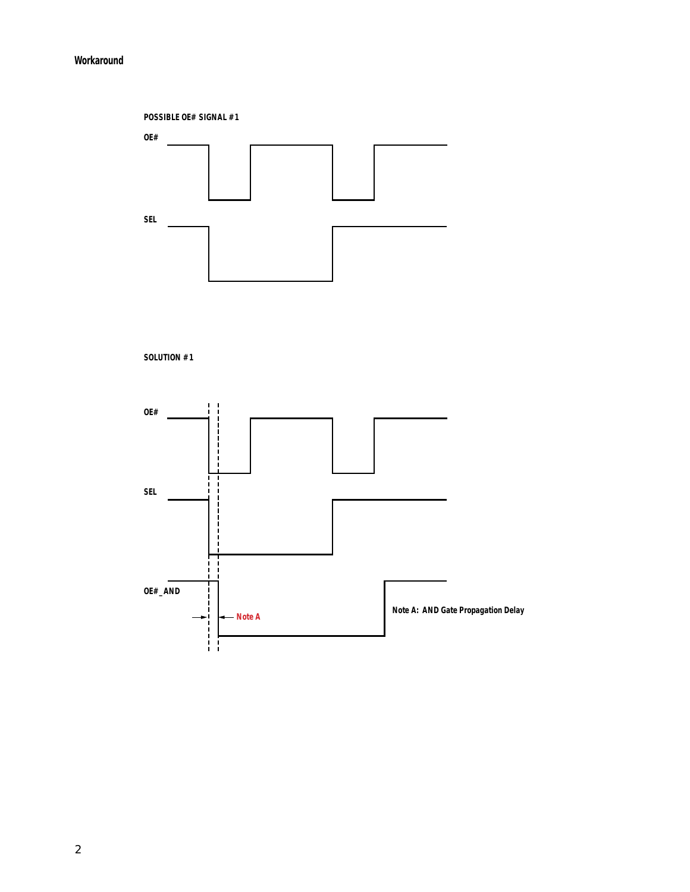## **Workaround**



**SOLUTION #1**